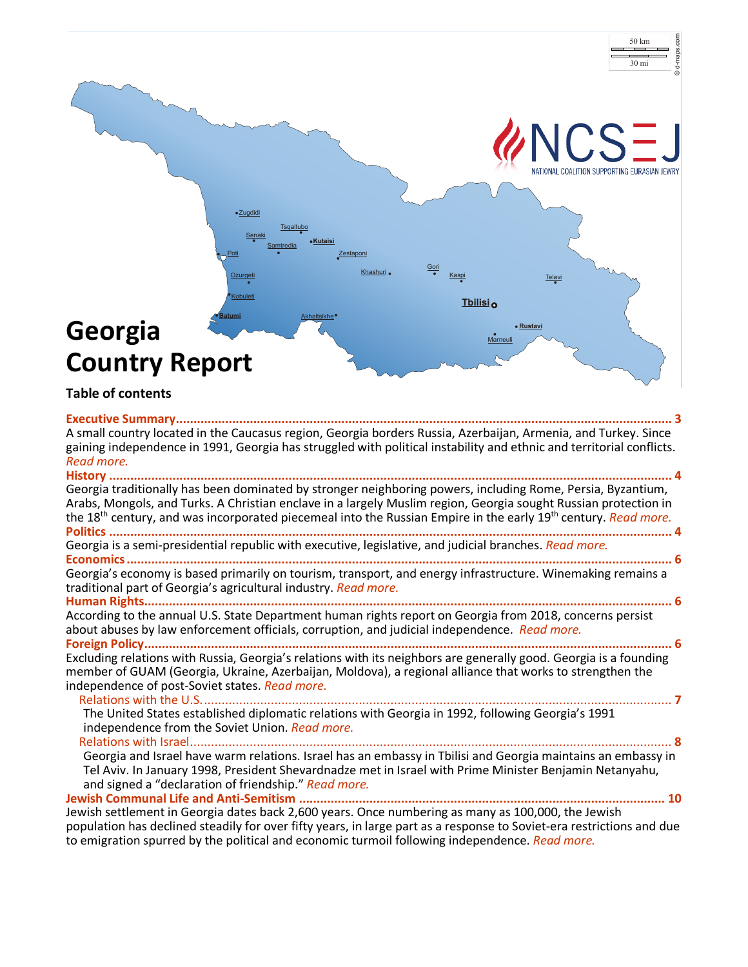

#### **Table of contents**

**[Executive Summary.............................................................................................................................................](#page-1-0) 3** A small country located in the Caucasus region, Georgia borders Russia, Azerbaijan, Armenia, and Turkey. Since gaining independence in 1991, Georgia has struggled with political instability and ethnic and territorial conflicts. *[Read more.](#page-1-0)* **History [................................................................................................................................................................](#page-1-1) 4** Georgia traditionally has been dominated by stronger neighboring powers, including Rome, Persia, Byzantium, Arabs, Mongols, and Turks. A Christian enclave in a largely Muslim region, Georgia sought Russian protection in the 18th century, and was incorporated piecemeal into the Russian Empire in the early 19th century. *[Read more.](#page-1-1)* **Politics [................................................................................................................................................................](#page-3-0) 4** Georgia is a semi-presidential republic with executive, legislative, and judicial branches. *[Read more.](#page-3-0)* **Economics........................................................................................................................................................... 6** Georgia's economy is based primarily on tourism, transport, and energy infrastructure. Winemaking remains a traditional part of Georgia's agricultural industry. *[Read more.](#page-3-0)* **Human Rights...................................................................................................................................................... 6** According to the annual U.S. State Department human rights report on Georgia from 2018, concerns persist about abuses by law enforcement officials, corruption, and judicial independence. *[Read more.](#page-3-0)* **[Foreign Policy......................................................................................................................................................](#page-5-0) 6** Excluding relations with Russia, Georgia's relations with its neighbors are generally good. Georgia is a founding member of GUAM (Georgia, Ukraine, Azerbaijan, Moldova), a regional alliance that works to strengthen the independence of post-Soviet states. *[Read more.](#page-5-0)* [Relations with the U.S......................................................................................................................................](#page-6-0) **7** The United States established diplomatic relations with Georgia in 1992, following Georgia's 1991 independence from the Soviet Union. *[Read more.](#page-6-0)* [Relations with Israel.........................................................................................................................................](#page-8-0) **8** Georgia and Israel have warm relations. Israel has an embassy in Tbilisi and Georgia maintains an embassy in Tel Aviv. In January 1998, President Shevardnadze met in Israel with Prime Minister Benjamin Netanyahu, and signed a "declaration of friendship." *[Read more.](#page-8-0)* **Jewish Communal Life and Anti-Semitism [........................................................................................................](#page-9-0) 10** Jewish settlement in Georgia dates back 2,600 years. Once numbering as many as 100,000, the Jewish population has declined steadily for over fifty years, in large part as a response to Soviet-era restrictions and due

to emigration spurred by the political and economic turmoil following independence. *[Read more.](#page-9-0)*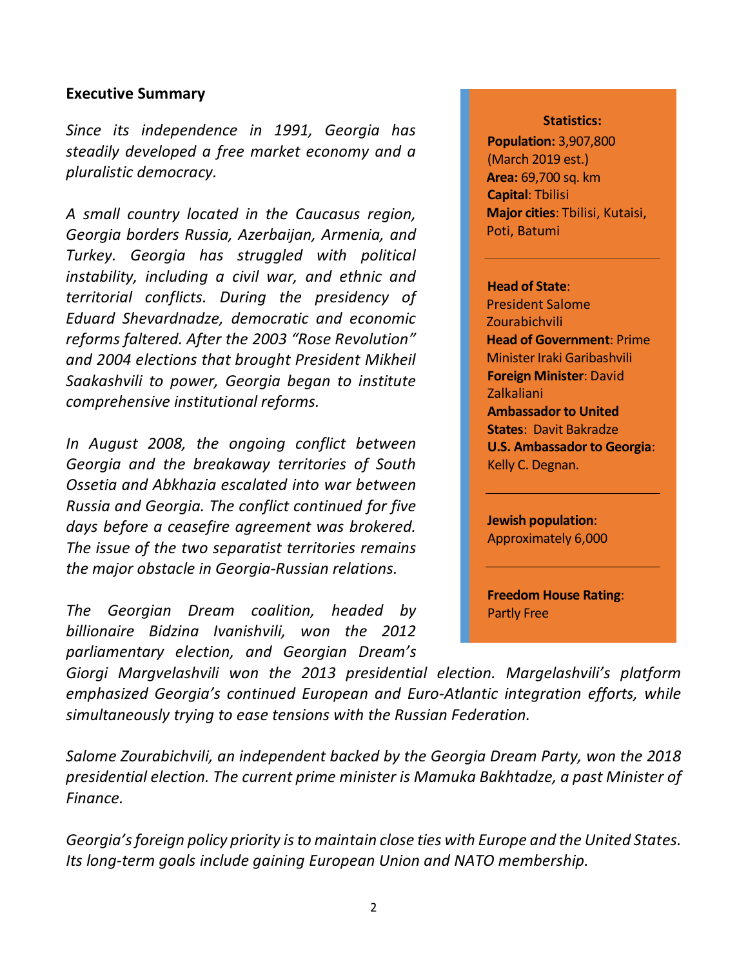# <span id="page-1-0"></span>**Executive Summary**

*Since its independence in 1991, Georgia has steadily developed a free market economy and a pluralistic democracy.*

*A small country located in the Caucasus region, Georgia borders Russia, Azerbaijan, Armenia, and Turkey. Georgia has struggled with political instability, including a civil war, and ethnic and territorial conflicts. During the presidency of Eduard Shevardnadze, democratic and economic reforms faltered. After the 2003 "Rose Revolution" and 2004 elections that brought President Mikheil Saakashvili to power, Georgia began to institute comprehensive institutional reforms.*

*In August 2008, the ongoing conflict between Georgia and the breakaway territories of South Ossetia and Abkhazia escalated into war between Russia and Georgia. The conflict continued for five days before a ceasefire agreement was brokered. The issue of the two separatist territories remains the major obstacle in Georgia-Russian relations.*

*The Georgian Dream coalition, headed by billionaire Bidzina Ivanishvili, won the 2012 parliamentary election, and Georgian Dream's*

#### **Statistics:**

**Population:** 3,907,800 (March 2019 est.) **Area:** 69,700 sq. km **Capital**: Tbilisi **Major cities**: Tbilisi, Kutaisi, Poti, Batumi

#### **Head of State**:

President Salome Zourabichvili **Head of Government**: Prime Minister Iraki Garibashvili **Foreign Minister**: David Zalkaliani **Ambassador to United States**: Davit Bakradze **U.S. Ambassador to Georgia**: Kelly C. Degnan.

**Jewish population**: Approximately 6,000

<span id="page-1-1"></span>**Freedom House Rating**: Partly Free

*Giorgi Margvelashvili won the 2013 presidential election. Margelashvili's platform emphasized Georgia's continued European and Euro-Atlantic integration efforts, while simultaneously trying to ease tensions with the Russian Federation.*

*Salome Zourabichvili, an independent backed by the Georgia Dream Party, won the 2018 presidential election. The current prime minister is Mamuka Bakhtadze, a past Minister of Finance.*

*Georgia's foreign policy priority is to maintain close ties with Europe and the United States. Its long-term goals include gaining European Union and NATO membership.*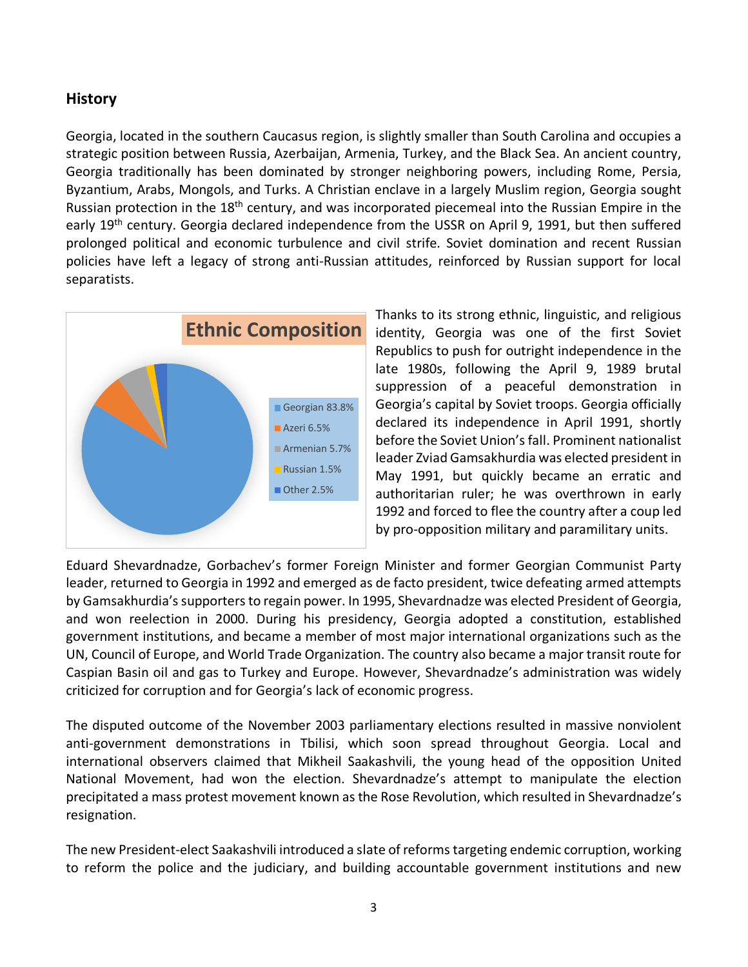# **History**

Georgia, located in the southern Caucasus region, is slightly smaller than South Carolina and occupies a strategic position between Russia, Azerbaijan, Armenia, Turkey, and the Black Sea. An ancient country, Georgia traditionally has been dominated by stronger neighboring powers, including Rome, Persia, Byzantium, Arabs, Mongols, and Turks. A Christian enclave in a largely Muslim region, Georgia sought Russian protection in the 18<sup>th</sup> century, and was incorporated piecemeal into the Russian Empire in the early 19<sup>th</sup> century. Georgia declared independence from the USSR on April 9, 1991, but then suffered prolonged political and economic turbulence and civil strife. Soviet domination and recent Russian policies have left a legacy of strong anti-Russian attitudes, reinforced by Russian support for local separatists.



Thanks to its strong ethnic, linguistic, and religious identity, Georgia was one of the first Soviet Republics to push for outright independence in the late 1980s, following the April 9, 1989 brutal suppression of a peaceful demonstration in Georgia's capital by Soviet troops. Georgia officially declared its independence in April 1991, shortly before the Soviet Union's fall. Prominent nationalist leader Zviad Gamsakhurdia was elected president in May 1991, but quickly became an erratic and authoritarian ruler; he was overthrown in early 1992 and forced to flee the country after a coup led by pro-opposition military and paramilitary units.

Eduard Shevardnadze, Gorbachev's former Foreign Minister and former Georgian Communist Party leader, returned to Georgia in 1992 and emerged as de facto president, twice defeating armed attempts by Gamsakhurdia's supporters to regain power. In 1995, Shevardnadze was elected President of Georgia, and won reelection in 2000. During his presidency, Georgia adopted a constitution, established government institutions, and became a member of most major international organizations such as the UN, Council of Europe, and World Trade Organization. The country also became a major transit route for Caspian Basin oil and gas to Turkey and Europe. However, Shevardnadze's administration was widely criticized for corruption and for Georgia's lack of economic progress.

The disputed outcome of the November 2003 parliamentary elections resulted in massive nonviolent anti-government demonstrations in Tbilisi, which soon spread throughout Georgia. Local and international observers claimed that Mikheil Saakashvili, the young head of the opposition United National Movement, had won the election. Shevardnadze's attempt to manipulate the election precipitated a mass protest movement known as the Rose Revolution, which resulted in Shevardnadze's resignation.

The new President-elect Saakashvili introduced a slate of reforms targeting endemic corruption, working to reform the police and the judiciary, and building accountable government institutions and new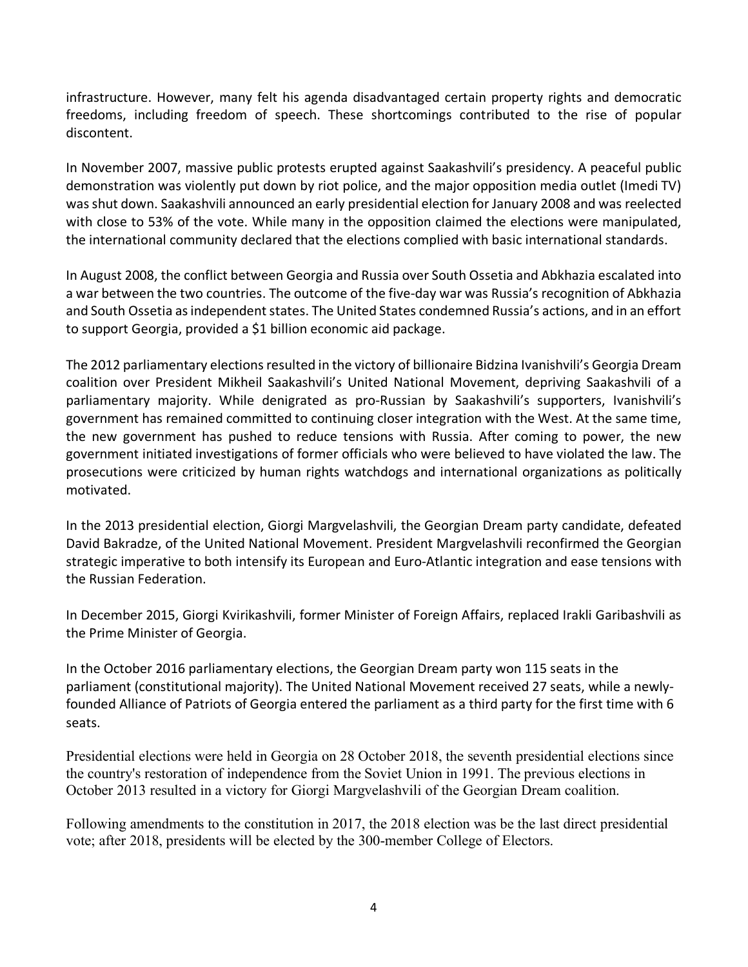infrastructure. However, many felt his agenda disadvantaged certain property rights and democratic freedoms, including freedom of speech. These shortcomings contributed to the rise of popular discontent.

In November 2007, massive public protests erupted against Saakashvili's presidency. A peaceful public demonstration was violently put down by riot police, and the major opposition media outlet (Imedi TV) was shut down. Saakashvili announced an early presidential election for January 2008 and was reelected with close to 53% of the vote. While many in the opposition claimed the elections were manipulated, the international community declared that the elections complied with basic international standards.

In August 2008, the conflict between Georgia and Russia over South Ossetia and Abkhazia escalated into a war between the two countries. The outcome of the five-day war was Russia's recognition of Abkhazia and South Ossetia as independent states. The United States condemned Russia's actions, and in an effort to support Georgia, provided a \$1 billion economic aid package.

The 2012 parliamentary elections resulted in the victory of billionaire Bidzina Ivanishvili's Georgia Dream coalition over President Mikheil Saakashvili's United National Movement, depriving Saakashvili of a parliamentary majority. While denigrated as pro-Russian by Saakashvili's supporters, Ivanishvili's government has remained committed to continuing closer integration with the West. At the same time, the new government has pushed to reduce tensions with Russia. After coming to power, the new government initiated investigations of former officials who were believed to have violated the law. The prosecutions were criticized by human rights watchdogs and international organizations as politically motivated.

In the 2013 presidential election, Giorgi Margvelashvili, the Georgian Dream party candidate, defeated David Bakradze, of the United National Movement. President Margvelashvili reconfirmed the Georgian strategic imperative to both intensify its European and Euro-Atlantic integration and ease tensions with the Russian Federation.

In December 2015, Giorgi Kvirikashvili, former Minister of Foreign Affairs, replaced Irakli Garibashvili as the Prime Minister of Georgia.

In the October 2016 parliamentary elections, the Georgian Dream party won 115 seats in the parliament (constitutional majority). The United National Movement received 27 seats, while a newlyfounded Alliance of Patriots of Georgia entered the parliament as a third party for the first time with 6 seats.

<span id="page-3-0"></span>Presidential elections were held in Georgia on 28 October 2018, the seventh presidential elections since the country's restoration of independence from the Soviet Union in 1991. The previous elections in October 2013 resulted in a victory for Giorgi Margvelashvili of the Georgian Dream coalition.

Following amendments to the constitution in 2017, the 2018 election was be the last direct presidential vote; after 2018, presidents will be elected by the 300-member College of Electors.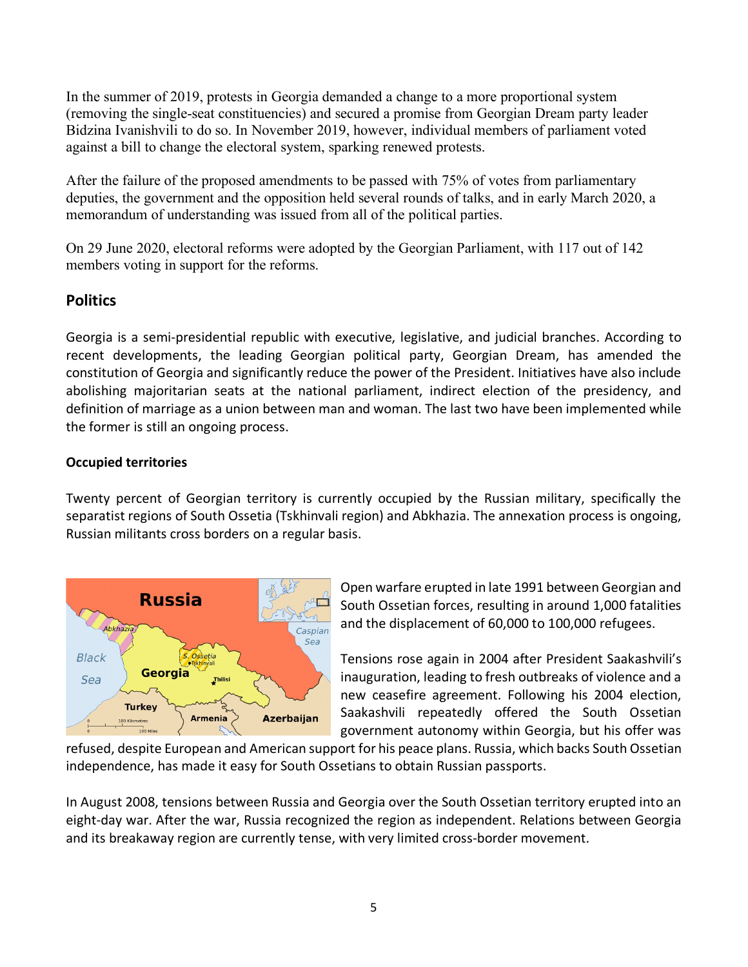In the summer of 2019, protests in Georgia demanded a change to a more proportional system (removing the single-seat constituencies) and secured a promise from Georgian Dream party leader Bidzina Ivanishvili to do so. In November 2019, however, individual members of parliament voted against a bill to change the electoral system, sparking renewed protests.

After the failure of the proposed amendments to be passed with 75% of votes from parliamentary deputies, the government and the opposition held several rounds of talks, and in early March 2020, a memorandum of understanding was issued from all of the political parties.

On 29 June 2020, electoral reforms were adopted by the Georgian Parliament, with 117 out of 142 members voting in support for the reforms.

# **Politics**

Georgia is a semi-presidential republic with executive, legislative, and judicial branches. According to recent developments, the leading Georgian political party, Georgian Dream, has amended the constitution of Georgia and significantly reduce the power of the President. Initiatives have also include abolishing majoritarian seats at the national parliament, indirect election of the presidency, and definition of marriage as a union between man and woman. The last two have been implemented while the former is still an ongoing process.

## **Occupied territories**

Twenty percent of Georgian territory is currently occupied by the Russian military, specifically the separatist regions of South Ossetia (Tskhinvali region) and Abkhazia. The annexation process is ongoing, Russian militants cross borders on a regular basis.



Open warfare erupted in late 1991 between Georgian and South Ossetian forces, resulting in around 1,000 fatalities and the displacement of 60,000 to 100,000 refugees.

Tensions rose again in 2004 after President Saakashvili's inauguration, leading to fresh outbreaks of violence and a new ceasefire agreement. Following his 2004 election, Saakashvili repeatedly offered the South Ossetian government autonomy within Georgia, but his offer was

refused, despite European and American support for his peace plans. Russia, which backs South Ossetian independence, has made it easy for South Ossetians to obtain Russian passports.

In August 2008, tensions between Russia and Georgia over the South Ossetian territory erupted into an eight-day war. After the war, Russia recognized the region as independent. Relations between Georgia and its breakaway region are currently tense, with very limited cross-border movement.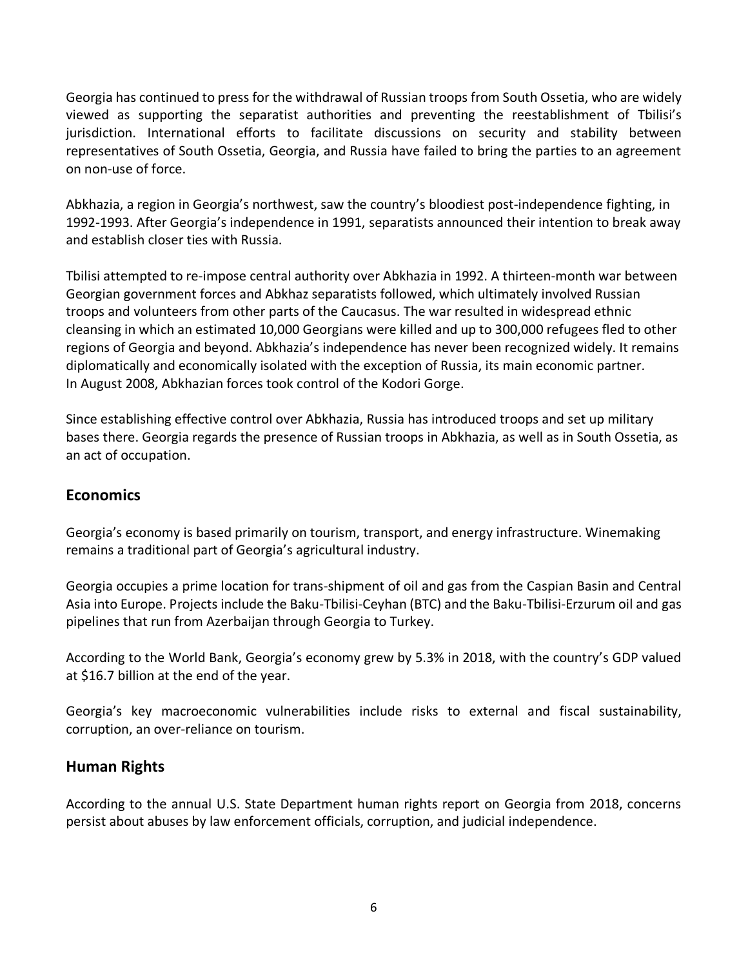Georgia has continued to press for the withdrawal of Russian troops from South Ossetia, who are widely viewed as supporting the separatist authorities and preventing the reestablishment of Tbilisi's jurisdiction. International efforts to facilitate discussions on security and stability between representatives of South Ossetia, Georgia, and Russia have failed to bring the parties to an agreement on non-use of force.

Abkhazia, a region in Georgia's northwest, saw the country's bloodiest post-independence fighting, in 1992-1993. After Georgia's independence in 1991, separatists announced their intention to break away and establish closer ties with Russia.

Tbilisi attempted to re-impose central authority over Abkhazia in 1992. A thirteen-month war between Georgian government forces and Abkhaz separatists followed, which ultimately involved Russian troops and volunteers from other parts of the Caucasus. The war resulted in widespread ethnic cleansing in which an estimated 10,000 Georgians were killed and up to 300,000 refugees fled to other regions of Georgia and beyond. Abkhazia's independence has never been recognized widely. It remains diplomatically and economically isolated with the exception of Russia, its main economic partner. In August 2008, Abkhazian forces took control of the Kodori Gorge.

Since establishing effective control over Abkhazia, Russia has introduced troops and set up military bases there. Georgia regards the presence of Russian troops in Abkhazia, as well as in South Ossetia, as an act of occupation.

# **Economics**

Georgia's economy is based primarily on tourism, transport, and energy infrastructure. Winemaking remains a traditional part of Georgia's agricultural industry.

Georgia occupies a prime location for trans-shipment of oil and gas from the Caspian Basin and Central Asia into Europe. Projects include the Baku-Tbilisi-Ceyhan (BTC) and the Baku-Tbilisi-Erzurum oil and gas pipelines that run from Azerbaijan through Georgia to Turkey.

According to the World Bank, Georgia's economy grew by 5.3% in 2018, with the country's GDP valued at \$16.7 billion at the end of the year.

Georgia's key macroeconomic vulnerabilities include risks to external and fiscal sustainability, corruption, an over-reliance on tourism.

# <span id="page-5-0"></span>**Human Rights**

According to the annual U.S. State Department human rights report on Georgia from 2018, concerns persist about abuses by law enforcement officials, corruption, and judicial independence.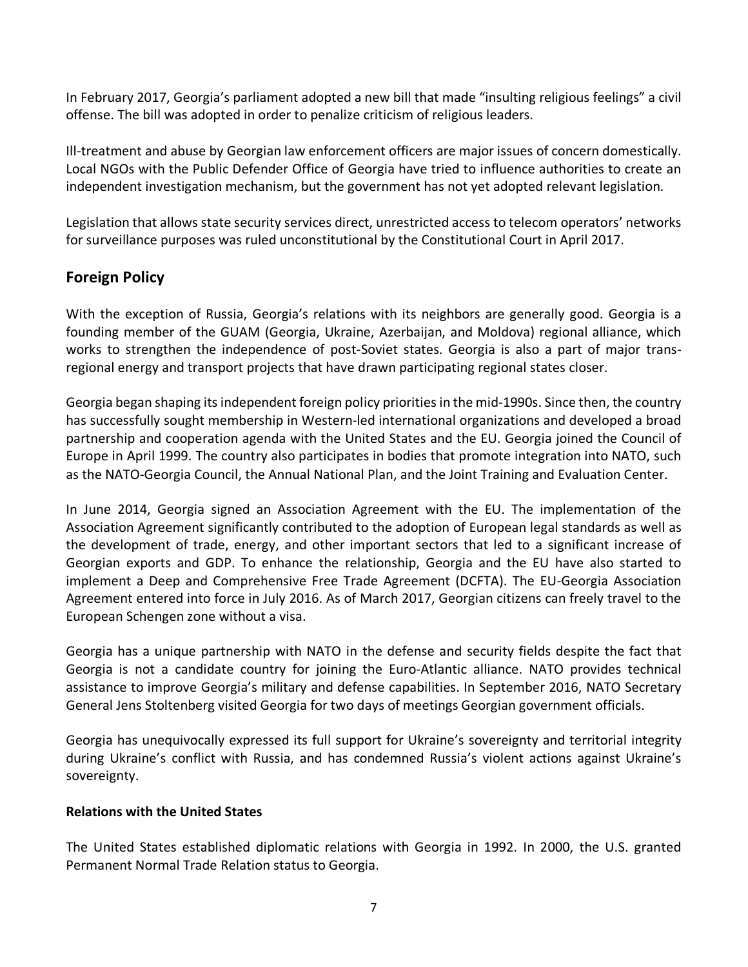In February 2017, Georgia's parliament adopted a new bill that made "insulting religious feelings" a civil offense. The bill was adopted in order to penalize criticism of religious leaders.

Ill-treatment and abuse by Georgian law enforcement officers are major issues of concern domestically. Local NGOs with the Public Defender Office of Georgia have tried to influence authorities to create an independent investigation mechanism, but the government has not yet adopted relevant legislation.

Legislation that allows state security services direct, unrestricted access to telecom operators' networks for surveillance purposes was ruled unconstitutional by the Constitutional Court in April 2017.

# **Foreign Policy**

With the exception of Russia, Georgia's relations with its neighbors are generally good. Georgia is a founding member of the GUAM (Georgia, Ukraine, Azerbaijan, and Moldova) regional alliance, which works to strengthen the independence of post-Soviet states. Georgia is also a part of major transregional energy and transport projects that have drawn participating regional states closer.

Georgia began shaping its independent foreign policy priorities in the mid-1990s. Since then, the country has successfully sought membership in Western-led international organizations and developed a broad partnership and cooperation agenda with the United States and the EU. Georgia joined the Council of Europe in April 1999. The country also participates in bodies that promote integration into NATO, such as the NATO-Georgia Council, the Annual National Plan, and the Joint Training and Evaluation Center.

In June 2014, Georgia signed an Association Agreement with the EU. The implementation of the Association Agreement significantly contributed to the adoption of European legal standards as well as the development of trade, energy, and other important sectors that led to a significant increase of Georgian exports and GDP. To enhance the relationship, Georgia and the EU have also started to implement a Deep and Comprehensive Free Trade Agreement (DCFTA). The EU-Georgia Association Agreement entered into force in July 2016. As of March 2017, Georgian citizens can freely travel to the European Schengen zone without a visa.

Georgia has a unique partnership with NATO in the defense and security fields despite the fact that Georgia is not a candidate country for joining the Euro-Atlantic alliance. NATO provides technical assistance to improve Georgia's military and defense capabilities. In September 2016, NATO Secretary General Jens Stoltenberg visited Georgia for two days of meetings Georgian government officials.

Georgia has unequivocally expressed its full support for Ukraine's sovereignty and territorial integrity during Ukraine's conflict with Russia, and has condemned Russia's violent actions against Ukraine's sovereignty.

### <span id="page-6-0"></span>**Relations with the United States**

The United States established diplomatic relations with Georgia in 1992. In 2000, the U.S. granted Permanent Normal Trade Relation status to Georgia.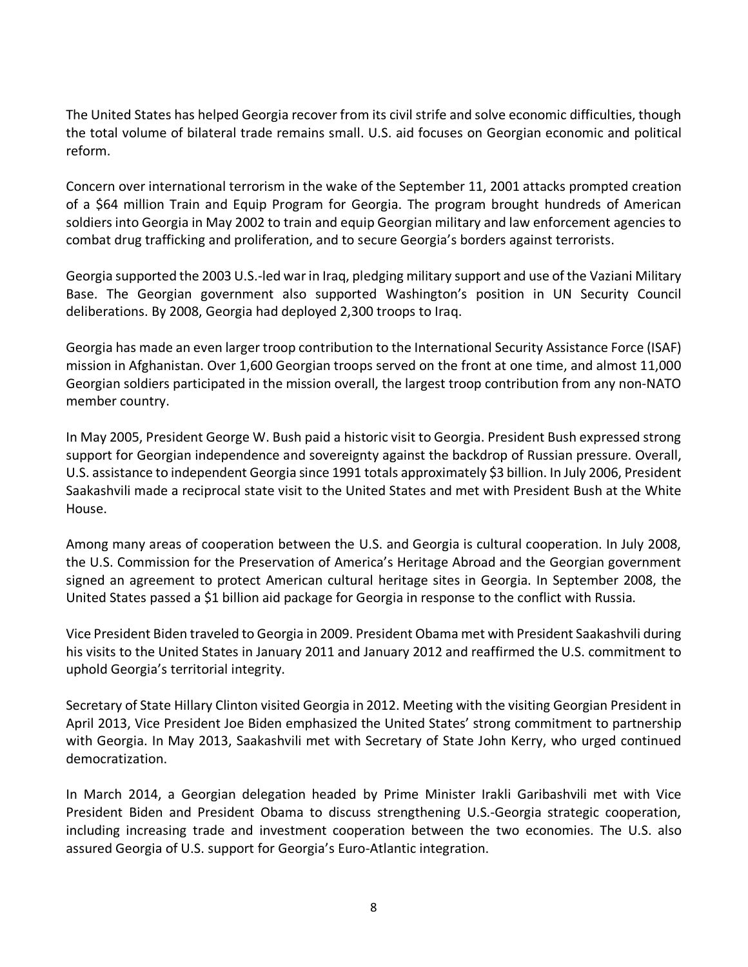The United States has helped Georgia recover from its civil strife and solve economic difficulties, though the total volume of bilateral trade remains small. U.S. aid focuses on Georgian economic and political reform.

Concern over international terrorism in the wake of the September 11, 2001 attacks prompted creation of a \$64 million Train and Equip Program for Georgia. The program brought hundreds of American soldiers into Georgia in May 2002 to train and equip Georgian military and law enforcement agencies to combat drug trafficking and proliferation, and to secure Georgia's borders against terrorists.

Georgia supported the 2003 U.S.-led war in Iraq, pledging military support and use of the Vaziani Military Base. The Georgian government also supported Washington's position in UN Security Council deliberations. By 2008, Georgia had deployed 2,300 troops to Iraq.

Georgia has made an even larger troop contribution to the International Security Assistance Force (ISAF) mission in Afghanistan. Over 1,600 Georgian troops served on the front at one time, and almost 11,000 Georgian soldiers participated in the mission overall, the largest troop contribution from any non-NATO member country.

In May 2005, President George W. Bush paid a historic visit to Georgia. President Bush expressed strong support for Georgian independence and sovereignty against the backdrop of Russian pressure. Overall, U.S. assistance to independent Georgia since 1991 totals approximately \$3 billion. In July 2006, President Saakashvili made a reciprocal state visit to the United States and met with President Bush at the White House.

Among many areas of cooperation between the U.S. and Georgia is cultural cooperation. In July 2008, the U.S. Commission for the Preservation of America's Heritage Abroad and the Georgian government signed an agreement to protect American cultural heritage sites in Georgia. In September 2008, the United States passed a \$1 billion aid package for Georgia in response to the conflict with Russia.

Vice President Biden traveled to Georgia in 2009. President Obama met with President Saakashvili during his visits to the United States in January 2011 and January 2012 and reaffirmed the U.S. commitment to uphold Georgia's territorial integrity.

Secretary of State Hillary Clinton visited Georgia in 2012. Meeting with the visiting Georgian President in April 2013, Vice President Joe Biden emphasized the United States' strong commitment to partnership with Georgia. In May 2013, Saakashvili met with Secretary of State John Kerry, who urged continued democratization.

In March 2014, a Georgian delegation headed by Prime Minister Irakli Garibashvili met with Vice President Biden and President Obama to discuss strengthening U.S.-Georgia strategic cooperation, including increasing trade and investment cooperation between the two economies. The U.S. also assured Georgia of U.S. support for Georgia's Euro-Atlantic integration.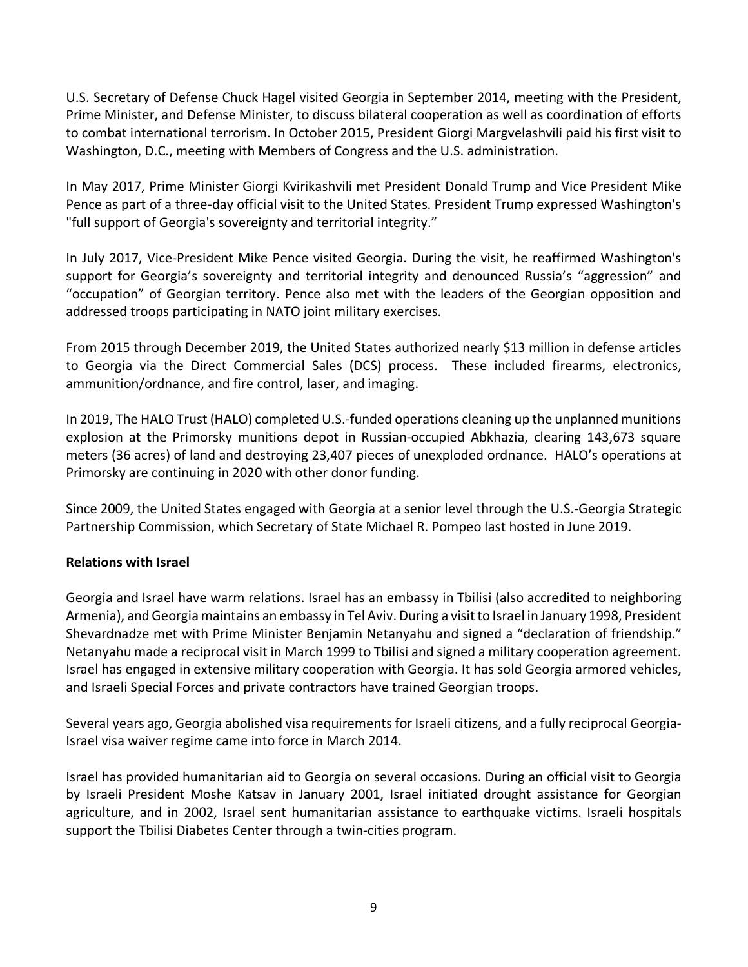U.S. Secretary of Defense Chuck Hagel visited Georgia in September 2014, meeting with the President, Prime Minister, and Defense Minister, to discuss bilateral cooperation as well as coordination of efforts to combat international terrorism. In October 2015, President Giorgi Margvelashvili paid his first visit to Washington, D.C., meeting with Members of Congress and the U.S. administration.

In May 2017, Prime Minister Giorgi Kvirikashvili met President Donald Trump and Vice President Mike Pence as part of a three-day official visit to the United States. President Trump expressed Washington's "full support of Georgia's sovereignty and territorial integrity."

In July 2017, Vice-President Mike Pence visited Georgia. During the visit, he reaffirmed Washington's support for Georgia's sovereignty and territorial integrity and denounced Russia's "aggression" and "occupation" of Georgian territory. Pence also met with the leaders of the Georgian opposition and addressed troops participating in NATO joint military exercises.

From 2015 through December 2019, the United States authorized nearly \$13 million in defense articles to Georgia via the Direct Commercial Sales (DCS) process. These included firearms, electronics, ammunition/ordnance, and fire control, laser, and imaging.

In 2019, The HALO Trust (HALO) completed U.S.-funded operations cleaning up the unplanned munitions explosion at the Primorsky munitions depot in Russian-occupied Abkhazia, clearing 143,673 square meters (36 acres) of land and destroying 23,407 pieces of unexploded ordnance. HALO's operations at Primorsky are continuing in 2020 with other donor funding.

Since 2009, the United States engaged with Georgia at a senior level through the U.S.-Georgia Strategic Partnership Commission, which Secretary of State Michael R. Pompeo last hosted in June 2019.

### <span id="page-8-0"></span>**Relations with Israel**

Georgia and Israel have warm relations. Israel has an embassy in Tbilisi (also accredited to neighboring Armenia), and Georgia maintains an embassy in Tel Aviv. During a visit to Israel in January 1998, President Shevardnadze met with Prime Minister Benjamin Netanyahu and signed a "declaration of friendship." Netanyahu made a reciprocal visit in March 1999 to Tbilisi and signed a military cooperation agreement. Israel has engaged in extensive military cooperation with Georgia. It has sold Georgia armored vehicles, and Israeli Special Forces and private contractors have trained Georgian troops.

Several years ago, Georgia abolished visa requirements for Israeli citizens, and a fully reciprocal Georgia-Israel visa waiver regime came into force in March 2014.

Israel has provided humanitarian aid to Georgia on several occasions. During an official visit to Georgia by Israeli President [Moshe Katsav](http://www.mfa.gov.il/mfa/go.asp?MFAH00fw0) in January 2001, Israel initiated [drought assistance](http://www.mfa.gov.il/mfa/go.asp?MFAH0j2b0) for Georgian agriculture, and in 2002, Israel sent humanitarian assistance to earthquake victims. Israeli hospitals support the Tbilisi Diabetes Center through a twin-cities program.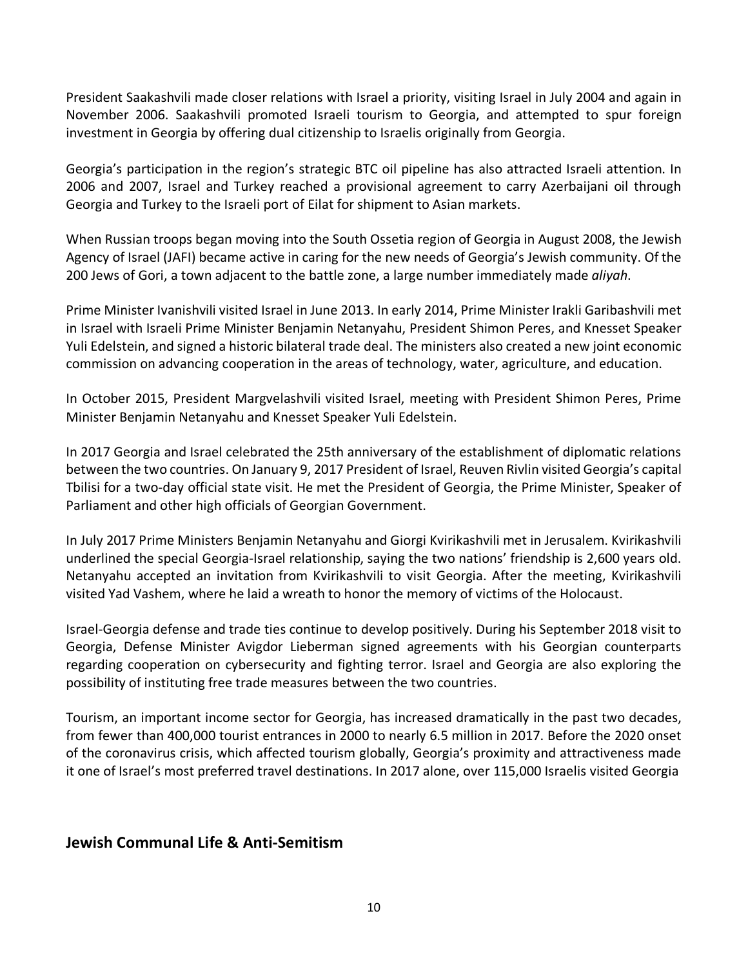President Saakashvili made closer relations with Israel a priority, visiting Israel in July 2004 and again in November 2006. Saakashvili promoted Israeli tourism to Georgia, and attempted to spur foreign investment in Georgia by offering dual citizenship to Israelis originally from Georgia.

Georgia's participation in the region's strategic BTC oil pipeline has also attracted Israeli attention. In 2006 and 2007, Israel and Turkey reached a provisional agreement to carry Azerbaijani oil through Georgia and Turkey to the Israeli port of Eilat for shipment to Asian markets.

When Russian troops began moving into the South Ossetia region of Georgia in August 2008, the Jewish Agency of Israel (JAFI) became active in caring for the new needs of Georgia's Jewish community. Of the 200 Jews of Gori, a town adjacent to the battle zone, a large number immediately made *aliyah*.

Prime Minister Ivanishvili visited Israel in June 2013. In early 2014, Prime Minister Irakli Garibashvili met in Israel with Israeli Prime Minister Benjamin Netanyahu, President Shimon Peres, and Knesset Speaker Yuli Edelstein, and signed a historic bilateral trade deal. The ministers also created a new joint economic commission on advancing cooperation in the areas of technology, water, agriculture, and education.

In October 2015, President Margvelashvili visited Israel, meeting with President Shimon Peres, Prime Minister Benjamin Netanyahu and Knesset Speaker Yuli Edelstein.

In 2017 Georgia and Israel celebrated the 25th anniversary of the establishment of diplomatic relations between the two countries. On January 9, 2017 President of Israel, Reuven Rivlin visited Georgia's capital Tbilisi for a two-day official state visit. He met the President of Georgia, the Prime Minister, Speaker of Parliament and other high officials of Georgian Government.

<span id="page-9-0"></span>In July 2017 Prime Ministers Benjamin Netanyahu and Giorgi Kvirikashvili met in Jerusalem. Kvirikashvili underlined the special Georgia-Israel relationship, saying the two nations' friendship is 2,600 years old. Netanyahu accepted an invitation from Kvirikashvili to visit Georgia. After the meeting, Kvirikashvili visited Yad Vashem, where he laid a wreath to honor the memory of victims of the Holocaust.

Israel-Georgia defense and trade ties continue to develop positively. During his September 2018 visit to Georgia, Defense Minister Avigdor Lieberman signed agreements with his Georgian counterparts regarding cooperation on cybersecurity and fighting terror. Israel and Georgia are also exploring the possibility of instituting free trade measures between the two countries.

Tourism, an important income sector for Georgia, has increased dramatically in the past two decades, from fewer than 400,000 tourist entrances in 2000 to nearly 6.5 million in 2017. Before the 2020 onset of the coronavirus crisis, which affected tourism globally, Georgia's proximity and attractiveness made it one of Israel's most preferred travel destinations. In 2017 alone, over 115,000 Israelis visited Georgia

# **Jewish Communal Life & Anti-Semitism**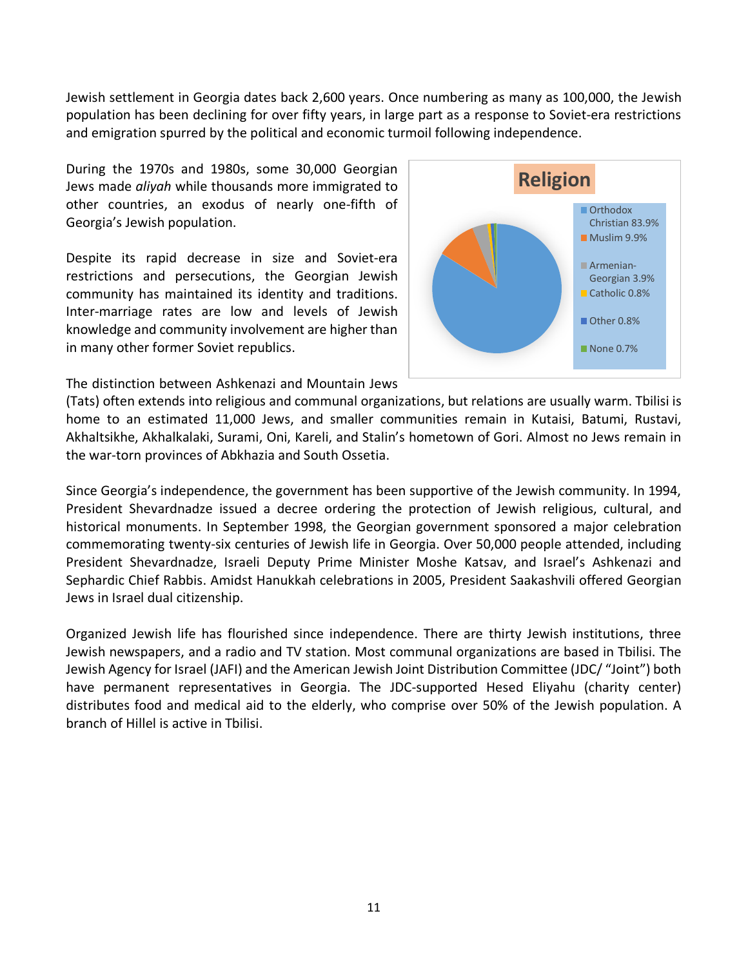Jewish settlement in Georgia dates back 2,600 years. Once numbering as many as 100,000, the Jewish population has been declining for over fifty years, in large part as a response to Soviet-era restrictions and emigration spurred by the political and economic turmoil following independence.

During the 1970s and 1980s, some 30,000 Georgian Jews made *aliyah* while thousands more immigrated to other countries, an exodus of nearly one-fifth of Georgia's Jewish population.

Despite its rapid decrease in size and Soviet-era restrictions and persecutions, the Georgian Jewish community has maintained its identity and traditions. Inter-marriage rates are low and levels of Jewish knowledge and community involvement are higher than in many other former Soviet republics.



The distinction between Ashkenazi and Mountain Jews

(Tats) often extends into religious and communal organizations, but relations are usually warm. Tbilisi is home to an estimated 11,000 Jews, and smaller communities remain in Kutaisi, Batumi, Rustavi, Akhaltsikhe, Akhalkalaki, Surami, Oni, Kareli, and Stalin's hometown of Gori. Almost no Jews remain in the war-torn provinces of Abkhazia and South Ossetia.

Since Georgia's independence, the government has been supportive of the Jewish community. In 1994, President Shevardnadze issued a decree ordering the protection of Jewish religious, cultural, and historical monuments. In September 1998, the Georgian government sponsored a major celebration commemorating twenty-six centuries of Jewish life in Georgia. Over 50,000 people attended, including President Shevardnadze, Israeli Deputy Prime Minister Moshe Katsav, and Israel's Ashkenazi and Sephardic Chief Rabbis. Amidst Hanukkah celebrations in 2005, President Saakashvili offered Georgian Jews in Israel dual citizenship.

Organized Jewish life has flourished since independence. There are thirty Jewish institutions, three Jewish newspapers, and a radio and TV station. Most communal organizations are based in Tbilisi. The Jewish Agency for Israel (JAFI) and the American Jewish Joint Distribution Committee (JDC/ "Joint") both have permanent representatives in Georgia. The JDC-supported Hesed Eliyahu (charity center) distributes food and medical aid to the elderly, who comprise over 50% of the Jewish population. A branch of Hillel is active in Tbilisi.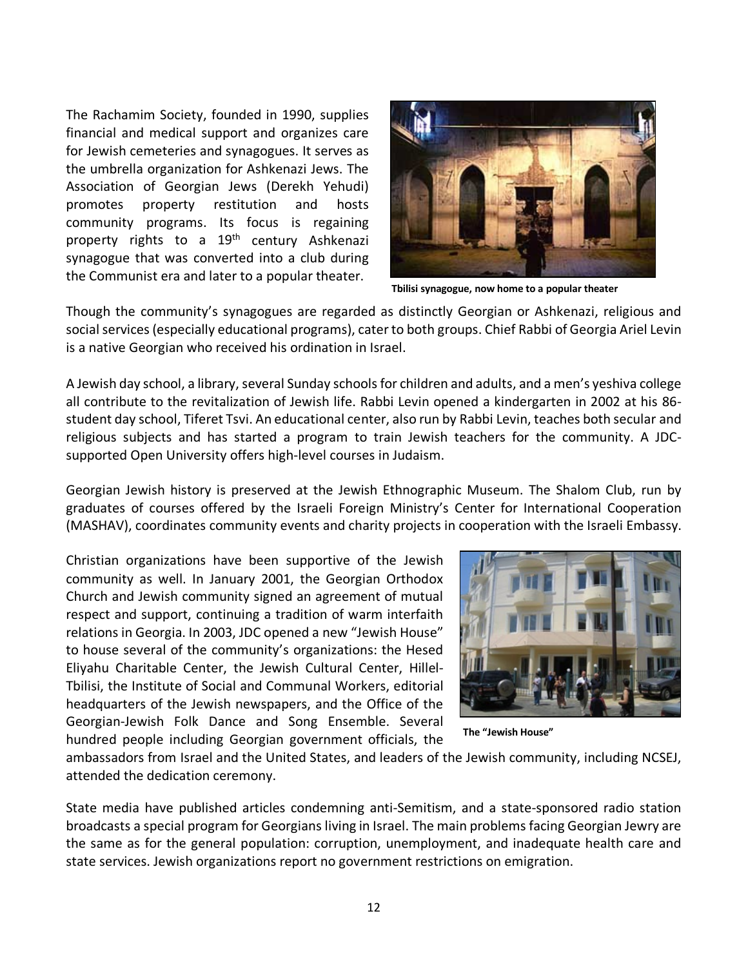The Rachamim Society, founded in 1990, supplies financial and medical support and organizes care for Jewish cemeteries and synagogues. It serves as the umbrella organization for Ashkenazi Jews. The Association of Georgian Jews (Derekh Yehudi) promotes property restitution and hosts community programs. Its focus is regaining property rights to a 19<sup>th</sup> century Ashkenazi synagogue that was converted into a club during the Communist era and later to a popular theater.



**Tbilisi synagogue, now home to a popular theater** 

Though the community's synagogues are regarded as distinctly Georgian or Ashkenazi, religious and social services (especially educational programs), cater to both groups. Chief Rabbi of Georgia Ariel Levin is a native Georgian who received his ordination in Israel.

A Jewish day school, a library, several Sunday schools for children and adults, and a men's yeshiva college all contribute to the revitalization of Jewish life. Rabbi Levin opened a kindergarten in 2002 at his 86 student day school, Tiferet Tsvi. An educational center, also run by Rabbi Levin, teaches both secular and religious subjects and has started a program to train Jewish teachers for the community. A JDCsupported Open University offers high-level courses in Judaism.

Georgian Jewish history is preserved at the Jewish Ethnographic Museum. The Shalom Club, run by graduates of courses offered by the Israeli Foreign Ministry's Center for International Cooperation (MASHAV), coordinates community events and charity projects in cooperation with the Israeli Embassy.

Christian organizations have been supportive of the Jewish community as well. In January 2001, the Georgian Orthodox Church and Jewish community signed an agreement of mutual respect and support, continuing a tradition of warm interfaith relations in Georgia. In 2003, JDC opened a new "Jewish House" to house several of the community's organizations: the Hesed Eliyahu Charitable Center, the Jewish Cultural Center, Hillel-Tbilisi, the Institute of Social and Communal Workers, editorial headquarters of the Jewish newspapers, and the Office of the Georgian-Jewish Folk Dance and Song Ensemble. Several hundred people including Georgian government officials, the



**The "Jewish House"**

ambassadors from Israel and the United States, and leaders of the Jewish community, including NCSEJ, attended the dedication ceremony.

State media have published articles condemning anti-Semitism, and a state-sponsored radio station broadcasts a special program for Georgians living in Israel. The main problems facing Georgian Jewry are the same as for the general population: corruption, unemployment, and inadequate health care and state services. Jewish organizations report no government restrictions on emigration.